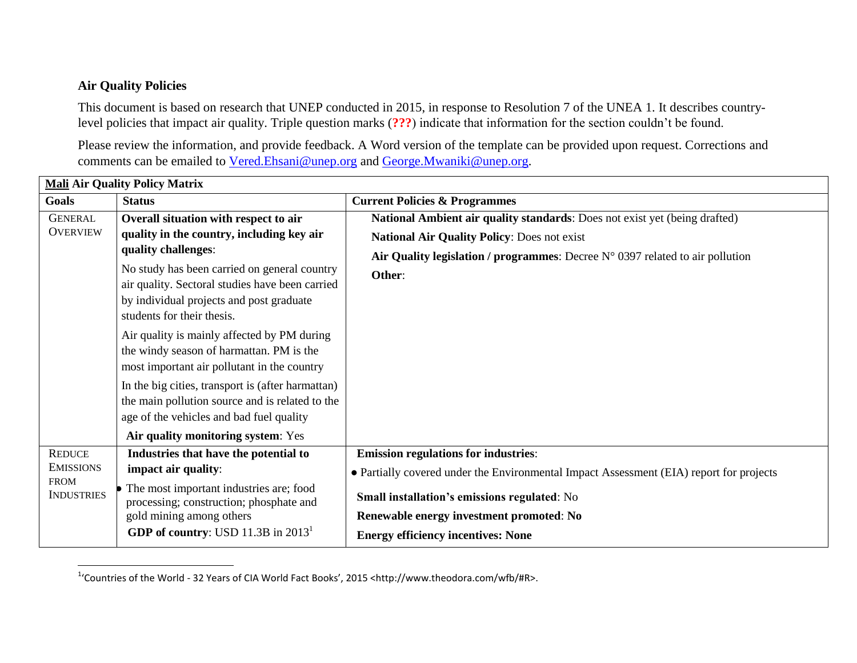## **Air Quality Policies**

 $\overline{\phantom{a}}$ 

This document is based on research that UNEP conducted in 2015, in response to Resolution 7 of the UNEA 1. It describes countrylevel policies that impact air quality. Triple question marks (**???**) indicate that information for the section couldn't be found.

Please review the information, and provide feedback. A Word version of the template can be provided upon request. Corrections and comments can be emailed to [Vered.Ehsani@unep.org](mailto:Vered.Ehsani@unep.org) and [George.Mwaniki@unep.org.](mailto:George.Mwaniki@unep.org)

| <b>Mali Air Quality Policy Matrix</b>                                 |                                                                                                                                                                                                                                                                                                                                                                                                                                                                                                                                                                                      |                                                                                                                                                                                                                                                                                 |  |
|-----------------------------------------------------------------------|--------------------------------------------------------------------------------------------------------------------------------------------------------------------------------------------------------------------------------------------------------------------------------------------------------------------------------------------------------------------------------------------------------------------------------------------------------------------------------------------------------------------------------------------------------------------------------------|---------------------------------------------------------------------------------------------------------------------------------------------------------------------------------------------------------------------------------------------------------------------------------|--|
| Goals                                                                 | <b>Status</b>                                                                                                                                                                                                                                                                                                                                                                                                                                                                                                                                                                        | <b>Current Policies &amp; Programmes</b>                                                                                                                                                                                                                                        |  |
| <b>GENERAL</b><br><b>OVERVIEW</b>                                     | Overall situation with respect to air<br>quality in the country, including key air<br>quality challenges:<br>No study has been carried on general country<br>air quality. Sectoral studies have been carried<br>by individual projects and post graduate<br>students for their thesis.<br>Air quality is mainly affected by PM during<br>the windy season of harmattan. PM is the<br>most important air pollutant in the country<br>In the big cities, transport is (after harmattan)<br>the main pollution source and is related to the<br>age of the vehicles and bad fuel quality | National Ambient air quality standards: Does not exist yet (being drafted)<br>National Air Quality Policy: Does not exist<br>Air Quality legislation / programmes: Decree $N^{\circ}$ 0397 related to air pollution<br>Other:                                                   |  |
|                                                                       | Air quality monitoring system: Yes                                                                                                                                                                                                                                                                                                                                                                                                                                                                                                                                                   |                                                                                                                                                                                                                                                                                 |  |
| <b>REDUCE</b><br><b>EMISSIONS</b><br><b>FROM</b><br><b>INDUSTRIES</b> | Industries that have the potential to<br>impact air quality:<br>The most important industries are; food<br>processing; construction; phosphate and<br>gold mining among others<br><b>GDP of country:</b> USD 11.3B in $20131$                                                                                                                                                                                                                                                                                                                                                        | <b>Emission regulations for industries:</b><br>• Partially covered under the Environmental Impact Assessment (EIA) report for projects<br>Small installation's emissions regulated: No<br>Renewable energy investment promoted: No<br><b>Energy efficiency incentives: None</b> |  |

<sup>1</sup>'Countries of the World - 32 Years of CIA World Fact Books', 2015 <http://www.theodora.com/wfb/#R>.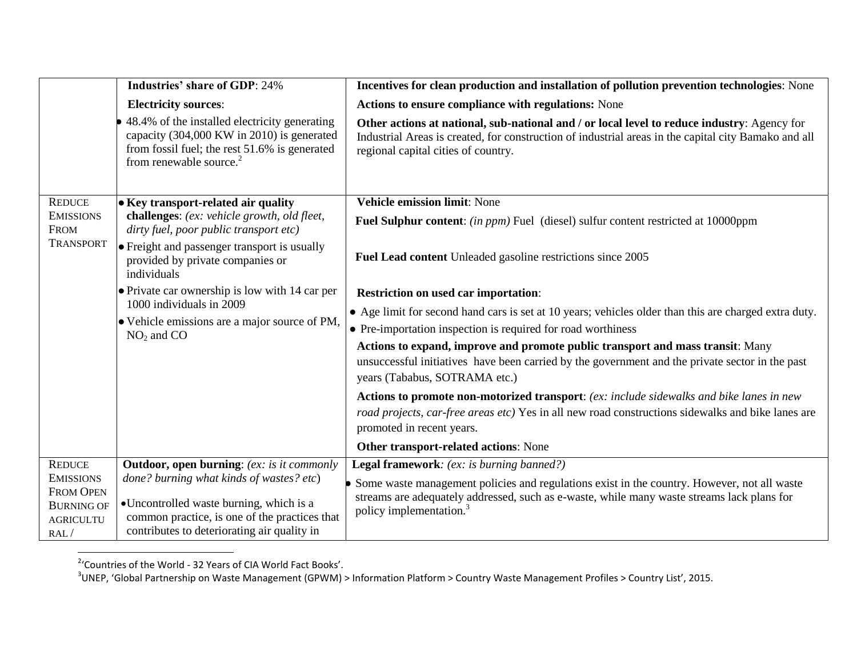|                                                                      | <b>Industries' share of GDP: 24%</b>                                                                                                                                                | Incentives for clean production and installation of pollution prevention technologies: None                                                                                                                                                |
|----------------------------------------------------------------------|-------------------------------------------------------------------------------------------------------------------------------------------------------------------------------------|--------------------------------------------------------------------------------------------------------------------------------------------------------------------------------------------------------------------------------------------|
|                                                                      | <b>Electricity sources:</b>                                                                                                                                                         | Actions to ensure compliance with regulations: None                                                                                                                                                                                        |
|                                                                      | 48.4% of the installed electricity generating<br>capacity (304,000 KW in 2010) is generated<br>from fossil fuel; the rest 51.6% is generated<br>from renewable source. <sup>2</sup> | Other actions at national, sub-national and / or local level to reduce industry: Agency for<br>Industrial Areas is created, for construction of industrial areas in the capital city Bamako and all<br>regional capital cities of country. |
| <b>REDUCE</b><br><b>EMISSIONS</b><br><b>FROM</b><br><b>TRANSPORT</b> | • Key transport-related air quality<br>challenges: (ex: vehicle growth, old fleet,<br>dirty fuel, poor public transport etc)                                                        | <b>Vehicle emission limit: None</b>                                                                                                                                                                                                        |
|                                                                      |                                                                                                                                                                                     | <b>Fuel Sulphur content:</b> (in ppm) Fuel (diesel) sulfur content restricted at 10000ppm                                                                                                                                                  |
|                                                                      | • Freight and passenger transport is usually<br>provided by private companies or<br>individuals                                                                                     | Fuel Lead content Unleaded gasoline restrictions since 2005                                                                                                                                                                                |
|                                                                      | • Private car ownership is low with 14 car per<br>1000 individuals in 2009<br>• Vehicle emissions are a major source of PM,<br>$NO2$ and CO                                         | <b>Restriction on used car importation:</b>                                                                                                                                                                                                |
|                                                                      |                                                                                                                                                                                     | • Age limit for second hand cars is set at 10 years; vehicles older than this are charged extra duty.                                                                                                                                      |
|                                                                      |                                                                                                                                                                                     | • Pre-importation inspection is required for road worthiness                                                                                                                                                                               |
|                                                                      |                                                                                                                                                                                     | Actions to expand, improve and promote public transport and mass transit: Many                                                                                                                                                             |
|                                                                      |                                                                                                                                                                                     | unsuccessful initiatives have been carried by the government and the private sector in the past<br>years (Tababus, SOTRAMA etc.)                                                                                                           |
|                                                                      |                                                                                                                                                                                     | Actions to promote non-motorized transport: (ex: include sidewalks and bike lanes in new                                                                                                                                                   |
|                                                                      |                                                                                                                                                                                     | road projects, car-free areas etc) Yes in all new road constructions sidewalks and bike lanes are<br>promoted in recent years.                                                                                                             |
|                                                                      |                                                                                                                                                                                     | Other transport-related actions: None                                                                                                                                                                                                      |
| <b>REDUCE</b>                                                        | <b>Outdoor, open burning:</b> (ex: is it commonly                                                                                                                                   | Legal framework: (ex: is burning banned?)                                                                                                                                                                                                  |
| <b>EMISSIONS</b>                                                     | done? burning what kinds of wastes? etc)                                                                                                                                            | Some waste management policies and regulations exist in the country. However, not all waste                                                                                                                                                |
| <b>FROM OPEN</b><br><b>BURNING OF</b>                                | •Uncontrolled waste burning, which is a                                                                                                                                             | streams are adequately addressed, such as e-waste, while many waste streams lack plans for                                                                                                                                                 |
| <b>AGRICULTU</b>                                                     | common practice, is one of the practices that                                                                                                                                       | policy implementation. <sup>3</sup>                                                                                                                                                                                                        |
| RAL/                                                                 | contributes to deteriorating air quality in                                                                                                                                         |                                                                                                                                                                                                                                            |

<sup>&</sup>lt;u>.</u><br><sup>2</sup>'Countries of the World - 32 Years of CIA World Fact Books'.<br><sup>3</sup>UNEP, 'Global Partnership on Waste Management (GPWM) > Information Platform > Country Waste Management Profiles > Country List', 2015.